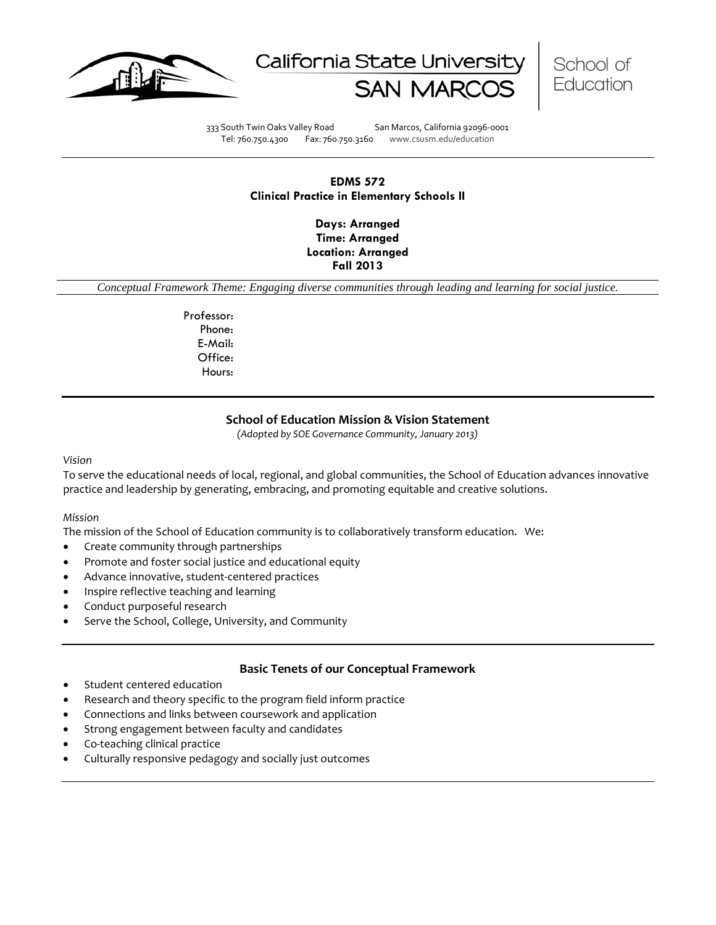





333 South Twin Oaks Valley Road San Marcos, California 92096-0001 Tel: 760.750.4300 Fax: 760.750.3160 www.csusm.edu/education

### **EDMS 572 Clinical Practice in Elementary Schools II**

**Days: Arranged Time: Arranged Location: Arranged Fall 2013** 

*Conceptual Framework Theme: Engaging diverse communities through leading and learning for social justice.*

Professor: Phone: E-Mail: Office: Hours:

### **School of Education Mission & Vision Statement**

*(Adopted by SOE Governance Community, January 2013)*

#### *Vision*

To serve the educational needs of local, regional, and global communities, the School of Education advances innovative practice and leadership by generating, embracing, and promoting equitable and creative solutions.

#### *Mission*

The mission of the School of Education community is to collaboratively transform education. We:

- Create community through partnerships
- Promote and foster social justice and educational equity
- Advance innovative, student-centered practices
- Inspire reflective teaching and learning
- Conduct purposeful research
- Serve the School, College, University, and Community

### **Basic Tenets of our Conceptual Framework**

- Student centered education
- Research and theory specific to the program field inform practice
- Connections and links between coursework and application
- Strong engagement between faculty and candidates
- Co-teaching clinical practice
- Culturally responsive pedagogy and socially just outcomes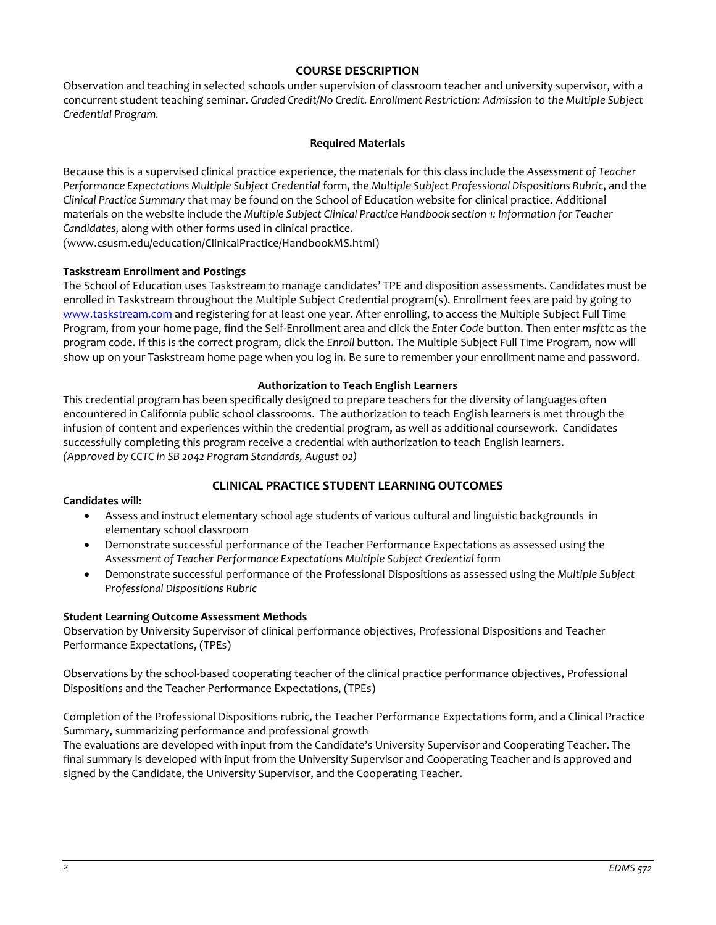### **COURSE DESCRIPTION**

Observation and teaching in selected schools under supervision of classroom teacher and university supervisor, with a concurrent student teaching seminar. *Graded Credit/No Credit. Enrollment Restriction: Admission to the Multiple Subject Credential Program.*

### **Required Materials**

Because this is a supervised clinical practice experience, the materials for this class include the *Assessment of Teacher Performance Expectations Multiple Subject Credential* form, the *Multiple Subject Professional Dispositions Rubric*, and the *Clinical Practice Summary* that may be found on the School of Education website for clinical practice. Additional materials on the website include the *Multiple Subject Clinical Practice Handbook section 1: Information for Teacher Candidates*, along with other forms used in clinical practice.

(www.csusm.edu/education/ClinicalPractice/HandbookMS.html)

### **Taskstream Enrollment and Postings**

The School of Education uses Taskstream to manage candidates' TPE and disposition assessments. Candidates must be enrolled in Taskstream throughout the Multiple Subject Credential program(s). Enrollment fees are paid by going to [www.taskstream.com](http://www.taskstrem.com/) and registering for at least one year. After enrolling, to access the Multiple Subject Full Time Program, from your home page, find the Self-Enrollment area and click the *Enter Code* button. Then enter *msfttc* as the program code. If this is the correct program, click the *Enroll* button. The Multiple Subject Full Time Program, now will show up on your Taskstream home page when you log in. Be sure to remember your enrollment name and password.

### **Authorization to Teach English Learners**

This credential program has been specifically designed to prepare teachers for the diversity of languages often encountered in California public school classrooms. The authorization to teach English learners is met through the infusion of content and experiences within the credential program, as well as additional coursework. Candidates successfully completing this program receive a credential with authorization to teach English learners. *(Approved by CCTC in SB 2042 Program Standards, August 02)*

# **CLINICAL PRACTICE STUDENT LEARNING OUTCOMES**

### **Candidates will:**

- Assess and instruct elementary school age students of various cultural and linguistic backgrounds in elementary school classroom
- Demonstrate successful performance of the Teacher Performance Expectations as assessed using the Assessment of Teacher Performance Expectations Multiple Subject Credential form
- Demonstrate successful performance of the Professional Dispositions as assessed using the *Multiple Subject Professional Dispositions Rubric*

### **Student Learning Outcome Assessment Methods**

Observation by University Supervisor of clinical performance objectives, Professional Dispositions and Teacher Performance Expectations, (TPEs)

Observations by the school-based cooperating teacher of the clinical practice performance objectives, Professional Dispositions and the Teacher Performance Expectations, (TPEs)

Completion of the Professional Dispositions rubric, the Teacher Performance Expectations form, and a Clinical Practice Summary, summarizing performance and professional growth

The evaluations are developed with input from the Candidate's University Supervisor and Cooperating Teacher. The final summary is developed with input from the University Supervisor and Cooperating Teacher and is approved and signed by the Candidate, the University Supervisor, and the Cooperating Teacher.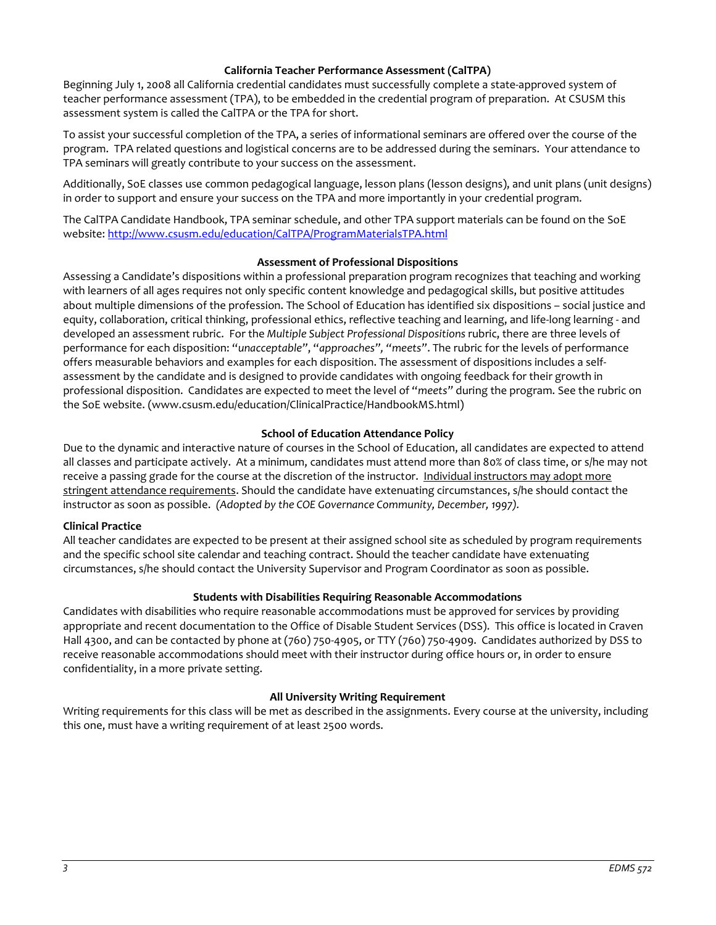### **California Teacher Performance Assessment (CalTPA)**

Beginning July 1, 2008 all California credential candidates must successfully complete a state-approved system of teacher performance assessment (TPA), to be embedded in the credential program of preparation. At CSUSM this assessment system is called the CalTPA or the TPA for short.

To assist your successful completion of the TPA, a series of informational seminars are offered over the course of the program. TPA related questions and logistical concerns are to be addressed during the seminars. Your attendance to TPA seminars will greatly contribute to your success on the assessment.

Additionally, SoE classes use common pedagogical language, lesson plans (lesson designs), and unit plans (unit designs) in order to support and ensure your success on the TPA and more importantly in your credential program.

The CalTPA Candidate Handbook, TPA seminar schedule, and other TPA support materials can be found on the SoE website: <http://www.csusm.edu/education/CalTPA/ProgramMaterialsTPA.html>

### **Assessment of Professional Dispositions**

Assessing a Candidate's dispositions within a professional preparation program recognizes that teaching and working with learners of all ages requires not only specific content knowledge and pedagogical skills, but positive attitudes about multiple dimensions of the profession. The School of Education has identified six dispositions – social justice and equity, collaboration, critical thinking, professional ethics, reflective teaching and learning, and life-long learning - and developed an assessment rubric. For the *Multiple Subject Professional Dispositions* rubric, there are three levels of performance for each disposition: "*unacceptable"*, "*approaches", "meets"*. The rubric for the levels of performance offers measurable behaviors and examples for each disposition. The assessment of dispositions includes a selfassessment by the candidate and is designed to provide candidates with ongoing feedback for their growth in professional disposition. Candidates are expected to meet the level of "*meets"* during the program. See the rubric on the SoE website. (www.csusm.edu/education/ClinicalPractice/HandbookMS.html)

# **School of Education Attendance Policy**

Due to the dynamic and interactive nature of courses in the School of Education, all candidates are expected to attend all classes and participate actively. At a minimum, candidates must attend more than 80% of class time, or s/he may not receive a passing grade for the course at the discretion of the instructor. Individual instructors may adopt more stringent attendance requirements. Should the candidate have extenuating circumstances, s/he should contact the instructor as soon as possible. *(Adopted by the COE Governance Community, December, 1997).*

### **Clinical Practice**

All teacher candidates are expected to be present at their assigned school site as scheduled by program requirements and the specific school site calendar and teaching contract. Should the teacher candidate have extenuating circumstances, s/he should contact the University Supervisor and Program Coordinator as soon as possible.

# **Students with Disabilities Requiring Reasonable Accommodations**

Candidates with disabilities who require reasonable accommodations must be approved for services by providing appropriate and recent documentation to the Office of Disable Student Services (DSS). This office is located in Craven Hall 4300, and can be contacted by phone at (760) 750-4905, or TTY (760) 750-4909. Candidates authorized by DSS to receive reasonable accommodations should meet with their instructor during office hours or, in order to ensure confidentiality, in a more private setting.

# **All University Writing Requirement**

Writing requirements for this class will be met as described in the assignments. Every course at the university, including this one, must have a writing requirement of at least 2500 words.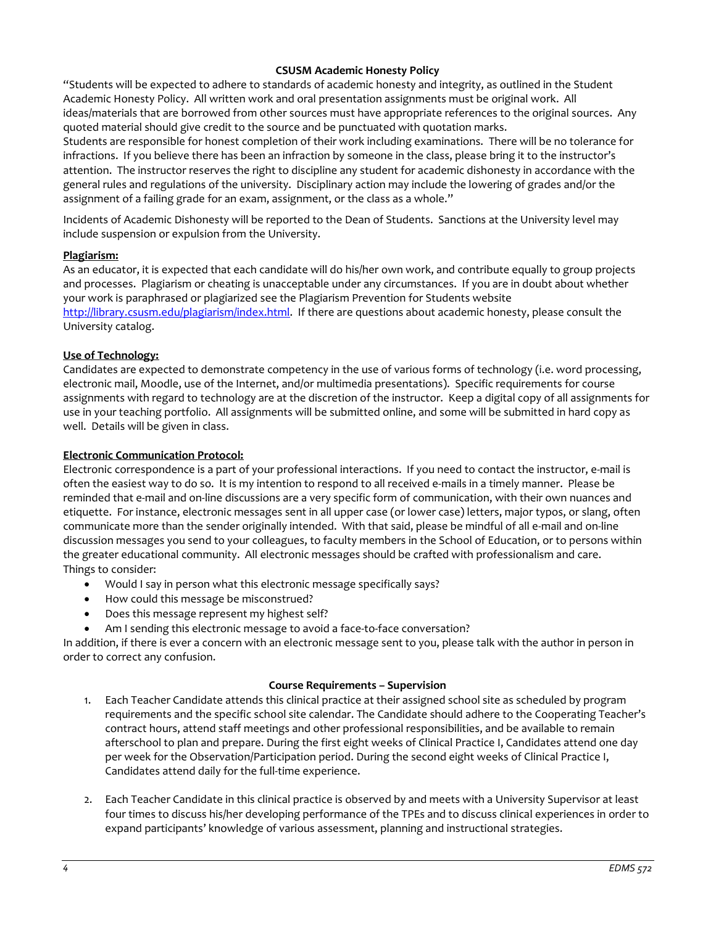### **CSUSM Academic Honesty Policy**

"Students will be expected to adhere to standards of academic honesty and integrity, as outlined in the Student Academic Honesty Policy. All written work and oral presentation assignments must be original work. All ideas/materials that are borrowed from other sources must have appropriate references to the original sources. Any quoted material should give credit to the source and be punctuated with quotation marks.

Students are responsible for honest completion of their work including examinations. There will be no tolerance for infractions. If you believe there has been an infraction by someone in the class, please bring it to the instructor's attention. The instructor reserves the right to discipline any student for academic dishonesty in accordance with the general rules and regulations of the university. Disciplinary action may include the lowering of grades and/or the assignment of a failing grade for an exam, assignment, or the class as a whole."

Incidents of Academic Dishonesty will be reported to the Dean of Students. Sanctions at the University level may include suspension or expulsion from the University.

### **Plagiarism:**

As an educator, it is expected that each candidate will do his/her own work, and contribute equally to group projects and processes. Plagiarism or cheating is unacceptable under any circumstances. If you are in doubt about whether your work is paraphrased or plagiarized see the Plagiarism Prevention for Students website [http://library.csusm.edu/plagiarism/index.html.](http://library.csusm.edu/plagiarism/index.html) If there are questions about academic honesty, please consult the University catalog.

### **Use of Technology:**

Candidates are expected to demonstrate competency in the use of various forms of technology (i.e. word processing, electronic mail, Moodle, use of the Internet, and/or multimedia presentations). Specific requirements for course assignments with regard to technology are at the discretion of the instructor. Keep a digital copy of all assignments for use in your teaching portfolio. All assignments will be submitted online, and some will be submitted in hard copy as well. Details will be given in class.

#### **Electronic Communication Protocol:**

Electronic correspondence is a part of your professional interactions. If you need to contact the instructor, e-mail is often the easiest way to do so. It is my intention to respond to all received e-mails in a timely manner. Please be reminded that e-mail and on-line discussions are a very specific form of communication, with their own nuances and etiquette. For instance, electronic messages sent in all upper case (or lower case) letters, major typos, or slang, often communicate more than the sender originally intended. With that said, please be mindful of all e-mail and on-line discussion messages you send to your colleagues, to faculty members in the School of Education, or to persons within the greater educational community. All electronic messages should be crafted with professionalism and care. Things to consider:

- Would I say in person what this electronic message specifically says?
- How could this message be misconstrued?
- Does this message represent my highest self?
- Am I sending this electronic message to avoid a face-to-face conversation?

In addition, if there is ever a concern with an electronic message sent to you, please talk with the author in person in order to correct any confusion.

#### **Course Requirements – Supervision**

- 1. Each Teacher Candidate attends this clinical practice at their assigned school site as scheduled by program requirements and the specific school site calendar. The Candidate should adhere to the Cooperating Teacher's contract hours, attend staff meetings and other professional responsibilities, and be available to remain afterschool to plan and prepare. During the first eight weeks of Clinical Practice I, Candidates attend one day per week for the Observation/Participation period. During the second eight weeks of Clinical Practice I, Candidates attend daily for the full-time experience.
- 2. Each Teacher Candidate in this clinical practice is observed by and meets with a University Supervisor at least four times to discuss his/her developing performance of the TPEs and to discuss clinical experiences in order to expand participants' knowledge of various assessment, planning and instructional strategies.